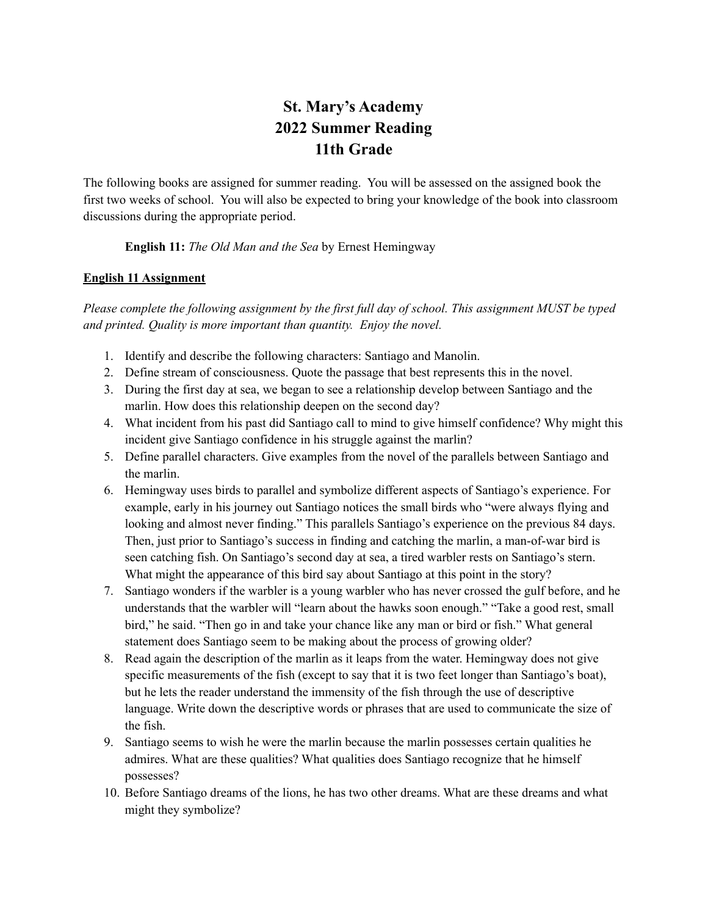## **St. Mary's Academy 2022 Summer Reading 11th Grade**

The following books are assigned for summer reading. You will be assessed on the assigned book the first two weeks of school. You will also be expected to bring your knowledge of the book into classroom discussions during the appropriate period.

## **English 11:** *The Old Man and the Sea* by Ernest Hemingway

## **English 11 Assignment**

*Please complete the following assignment by the first full day of school. This assignment MUST be typed and printed. Quality is more important than quantity. Enjoy the novel.*

- 1. Identify and describe the following characters: Santiago and Manolin.
- 2. Define stream of consciousness. Quote the passage that best represents this in the novel.
- 3. During the first day at sea, we began to see a relationship develop between Santiago and the marlin. How does this relationship deepen on the second day?
- 4. What incident from his past did Santiago call to mind to give himself confidence? Why might this incident give Santiago confidence in his struggle against the marlin?
- 5. Define parallel characters. Give examples from the novel of the parallels between Santiago and the marlin.
- 6. Hemingway uses birds to parallel and symbolize different aspects of Santiago's experience. For example, early in his journey out Santiago notices the small birds who "were always flying and looking and almost never finding." This parallels Santiago's experience on the previous 84 days. Then, just prior to Santiago's success in finding and catching the marlin, a man-of-war bird is seen catching fish. On Santiago's second day at sea, a tired warbler rests on Santiago's stern. What might the appearance of this bird say about Santiago at this point in the story?
- 7. Santiago wonders if the warbler is a young warbler who has never crossed the gulf before, and he understands that the warbler will "learn about the hawks soon enough." "Take a good rest, small bird," he said. "Then go in and take your chance like any man or bird or fish." What general statement does Santiago seem to be making about the process of growing older?
- 8. Read again the description of the marlin as it leaps from the water. Hemingway does not give specific measurements of the fish (except to say that it is two feet longer than Santiago's boat), but he lets the reader understand the immensity of the fish through the use of descriptive language. Write down the descriptive words or phrases that are used to communicate the size of the fish.
- 9. Santiago seems to wish he were the marlin because the marlin possesses certain qualities he admires. What are these qualities? What qualities does Santiago recognize that he himself possesses?
- 10. Before Santiago dreams of the lions, he has two other dreams. What are these dreams and what might they symbolize?